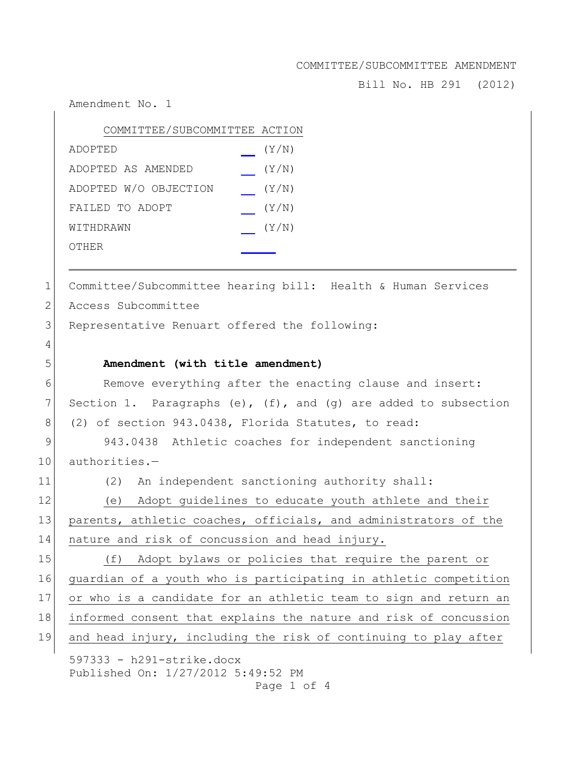Bill No. HB 291 (2012)

Amendment No. 1

| COMMITTEE/SUBCOMMITTEE ACTION |       |
|-------------------------------|-------|
| ADOPTED                       | (Y/N) |
| ADOPTED AS AMENDED            | (Y/N) |
| ADOPTED W/O OBJECTION         | (Y/N) |
| FAILED TO ADOPT               | (Y/N) |
| WITHDRAWN                     | (Y/N) |
| OTHER                         |       |

1 Committee/Subcommittee hearing bill: Health & Human Services

2 Access Subcommittee

4

3 Representative Renuart offered the following:

## 5 **Amendment (with title amendment)**

6 Remove everything after the enacting clause and insert: 7 Section 1. Paragraphs (e),  $(f)$ , and (g) are added to subsection 8 (2) of section 943.0438, Florida Statutes, to read:

9 943.0438 Athletic coaches for independent sanctioning 10 authorities.-

11 (2) An independent sanctioning authority shall:

12 (e) Adopt guidelines to educate youth athlete and their 13 parents, athletic coaches, officials, and administrators of the 14 nature and risk of concussion and head injury.

15 (f) Adopt bylaws or policies that require the parent or guardian of a youth who is participating in athletic competition or who is a candidate for an athletic team to sign and return an informed consent that explains the nature and risk of concussion and head injury, including the risk of continuing to play after

597333 - h291-strike.docx Published On: 1/27/2012 5:49:52 PM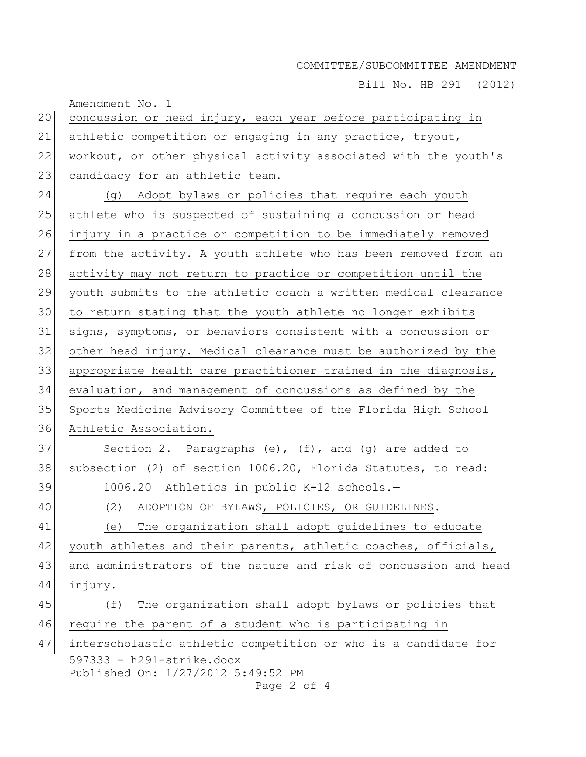Bill No. HB 291 (2012)

| 20 | Amendment No. 1<br>concussion or head injury, each year before participating in    |
|----|------------------------------------------------------------------------------------|
| 21 | athletic competition or engaging in any practice, tryout,                          |
| 22 | workout, or other physical activity associated with the youth's                    |
| 23 | candidacy for an athletic team.                                                    |
| 24 | (g) Adopt bylaws or policies that require each youth                               |
| 25 | athlete who is suspected of sustaining a concussion or head                        |
| 26 | injury in a practice or competition to be immediately removed                      |
| 27 | from the activity. A youth athlete who has been removed from an                    |
| 28 | activity may not return to practice or competition until the                       |
| 29 | youth submits to the athletic coach a written medical clearance                    |
| 30 | to return stating that the youth athlete no longer exhibits                        |
| 31 | signs, symptoms, or behaviors consistent with a concussion or                      |
| 32 | other head injury. Medical clearance must be authorized by the                     |
| 33 | appropriate health care practitioner trained in the diagnosis,                     |
| 34 | evaluation, and management of concussions as defined by the                        |
| 35 | Sports Medicine Advisory Committee of the Florida High School                      |
| 36 | Athletic Association.                                                              |
| 37 | Section 2. Paragraphs (e), $(f)$ , and (g) are added to                            |
| 38 | subsection (2) of section 1006.20, Florida Statutes, to read:                      |
| 39 | 1006.20 Athletics in public K-12 schools.-                                         |
| 40 | ADOPTION OF BYLAWS, POLICIES, OR GUIDELINES.-<br>(2)                               |
| 41 | (e) The organization shall adopt guidelines to educate                             |
| 42 | youth athletes and their parents, athletic coaches, officials,                     |
| 43 | and administrators of the nature and risk of concussion and head                   |
| 44 | injury.                                                                            |
| 45 | The organization shall adopt bylaws or policies that<br>(f)                        |
| 46 | require the parent of a student who is participating in                            |
| 47 | interscholastic athletic competition or who is a candidate for                     |
|    | $597333 - h291 - strike.docx$<br>Published On: 1/27/2012 5:49:52 PM<br>Page 2 of 4 |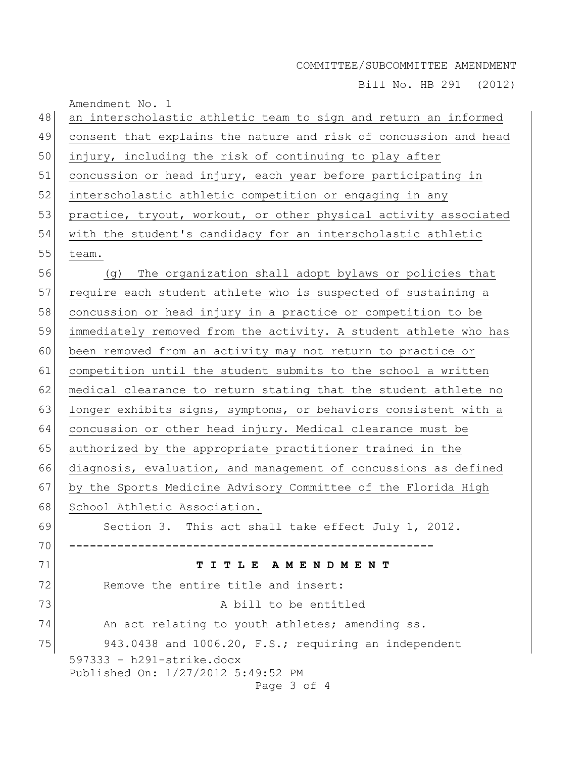Bill No. HB 291 (2012)

| 48 | Amendment No. 1<br>an interscholastic athletic team to sign and return an informed |
|----|------------------------------------------------------------------------------------|
| 49 | consent that explains the nature and risk of concussion and head                   |
| 50 | injury, including the risk of continuing to play after                             |
| 51 | concussion or head injury, each year before participating in                       |
| 52 | interscholastic athletic competition or engaging in any                            |
| 53 | practice, tryout, workout, or other physical activity associated                   |
| 54 | with the student's candidacy for an interscholastic athletic                       |
| 55 | team.                                                                              |
| 56 | The organization shall adopt bylaws or policies that<br>(q)                        |
| 57 | require each student athlete who is suspected of sustaining a                      |
| 58 | concussion or head injury in a practice or competition to be                       |
| 59 | immediately removed from the activity. A student athlete who has                   |
| 60 | been removed from an activity may not return to practice or                        |
| 61 | competition until the student submits to the school a written                      |
| 62 | medical clearance to return stating that the student athlete no                    |
| 63 | longer exhibits signs, symptoms, or behaviors consistent with a                    |
| 64 | concussion or other head injury. Medical clearance must be                         |
| 65 | authorized by the appropriate practitioner trained in the                          |
| 66 | diagnosis, evaluation, and management of concussions as defined                    |
| 67 | by the Sports Medicine Advisory Committee of the Florida High                      |
| 68 | School Athletic Association.                                                       |
| 69 | Section 3. This act shall take effect July 1, 2012.                                |
| 70 |                                                                                    |
| 71 | TITLE AMENDMENT                                                                    |
| 72 | Remove the entire title and insert:                                                |
| 73 | A bill to be entitled                                                              |
| 74 | An act relating to youth athletes; amending ss.                                    |
| 75 | 943.0438 and 1006.20, F.S.; requiring an independent                               |
|    | 597333 - h291-strike.docx<br>Published On: 1/27/2012 5:49:52 PM<br>Page 3 of 4     |